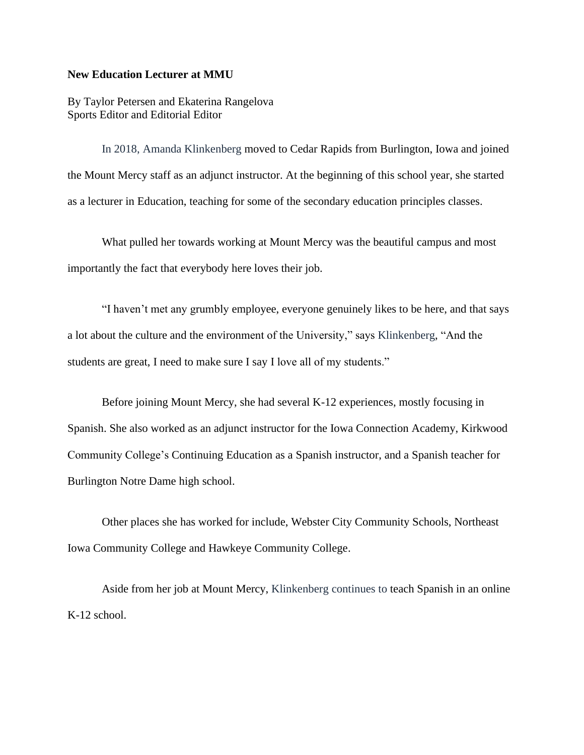## **New Education Lecturer at MMU**

By Taylor Petersen and Ekaterina Rangelova Sports Editor and Editorial Editor

In 2018, Amanda Klinkenberg moved to Cedar Rapids from Burlington, Iowa and joined the Mount Mercy staff as an adjunct instructor. At the beginning of this school year, she started as a lecturer in Education, teaching for some of the secondary education principles classes.

What pulled her towards working at Mount Mercy was the beautiful campus and most importantly the fact that everybody here loves their job.

"I haven't met any grumbly employee, everyone genuinely likes to be here, and that says a lot about the culture and the environment of the University," says Klinkenberg, "And the students are great, I need to make sure I say I love all of my students."

Before joining Mount Mercy, she had several K-12 experiences, mostly focusing in Spanish. She also worked as an adjunct instructor for the Iowa Connection Academy, Kirkwood Community College's Continuing Education as a Spanish instructor, and a Spanish teacher for Burlington Notre Dame high school.

Other places she has worked for include, Webster City Community Schools, Northeast Iowa Community College and Hawkeye Community College.

Aside from her job at Mount Mercy, Klinkenberg continues to teach Spanish in an online K-12 school.